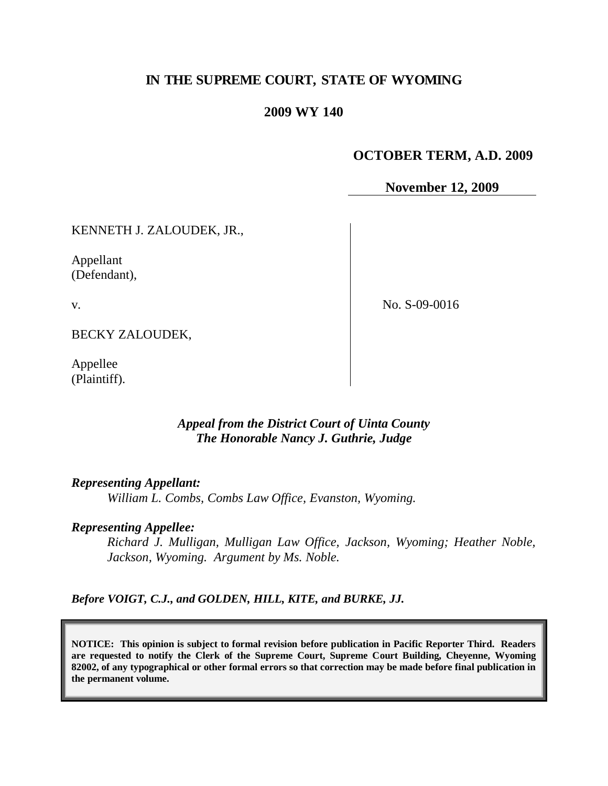## **IN THE SUPREME COURT, STATE OF WYOMING**

# **2009 WY 140**

#### **OCTOBER TERM, A.D. 2009**

**November 12, 2009**

KENNETH J. ZALOUDEK, JR.,

Appellant (Defendant),

v.

No. S-09-0016

BECKY ZALOUDEK,

Appellee (Plaintiff).

## *Appeal from the District Court of Uinta County The Honorable Nancy J. Guthrie, Judge*

*Representing Appellant:*

*William L. Combs, Combs Law Office, Evanston, Wyoming.*

#### *Representing Appellee:*

*Richard J. Mulligan, Mulligan Law Office, Jackson, Wyoming; Heather Noble, Jackson, Wyoming. Argument by Ms. Noble.*

*Before VOIGT, C.J., and GOLDEN, HILL, KITE, and BURKE, JJ.*

**NOTICE: This opinion is subject to formal revision before publication in Pacific Reporter Third. Readers are requested to notify the Clerk of the Supreme Court, Supreme Court Building, Cheyenne, Wyoming 82002, of any typographical or other formal errors so that correction may be made before final publication in the permanent volume.**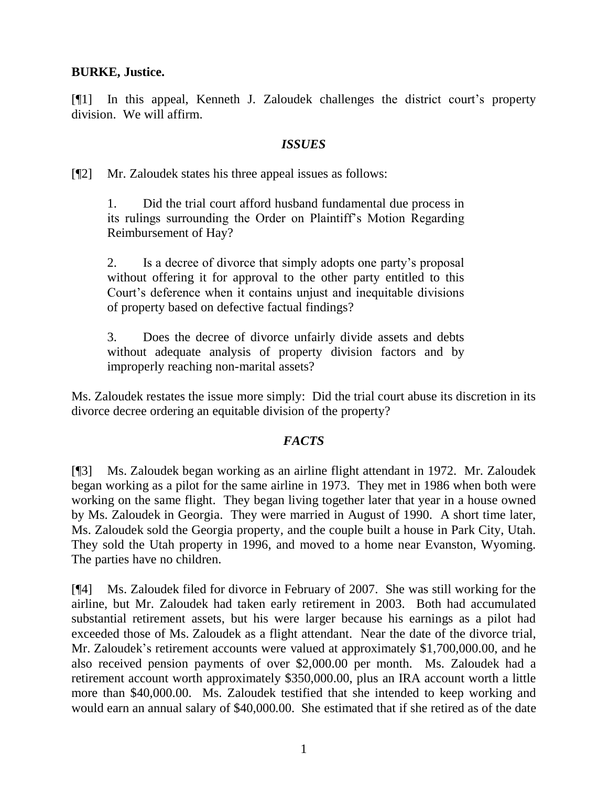### **BURKE, Justice.**

[¶1] In this appeal, Kenneth J. Zaloudek challenges the district court's property division. We will affirm.

### *ISSUES*

[¶2] Mr. Zaloudek states his three appeal issues as follows:

1. Did the trial court afford husband fundamental due process in its rulings surrounding the Order on Plaintiff's Motion Regarding Reimbursement of Hay?

2. Is a decree of divorce that simply adopts one party's proposal without offering it for approval to the other party entitled to this Court's deference when it contains unjust and inequitable divisions of property based on defective factual findings?

3. Does the decree of divorce unfairly divide assets and debts without adequate analysis of property division factors and by improperly reaching non-marital assets?

Ms. Zaloudek restates the issue more simply: Did the trial court abuse its discretion in its divorce decree ordering an equitable division of the property?

## *FACTS*

[¶3] Ms. Zaloudek began working as an airline flight attendant in 1972. Mr. Zaloudek began working as a pilot for the same airline in 1973. They met in 1986 when both were working on the same flight. They began living together later that year in a house owned by Ms. Zaloudek in Georgia. They were married in August of 1990. A short time later, Ms. Zaloudek sold the Georgia property, and the couple built a house in Park City, Utah. They sold the Utah property in 1996, and moved to a home near Evanston, Wyoming. The parties have no children.

[¶4] Ms. Zaloudek filed for divorce in February of 2007. She was still working for the airline, but Mr. Zaloudek had taken early retirement in 2003. Both had accumulated substantial retirement assets, but his were larger because his earnings as a pilot had exceeded those of Ms. Zaloudek as a flight attendant. Near the date of the divorce trial, Mr. Zaloudek's retirement accounts were valued at approximately \$1,700,000.00, and he also received pension payments of over \$2,000.00 per month. Ms. Zaloudek had a retirement account worth approximately \$350,000.00, plus an IRA account worth a little more than \$40,000.00. Ms. Zaloudek testified that she intended to keep working and would earn an annual salary of \$40,000.00. She estimated that if she retired as of the date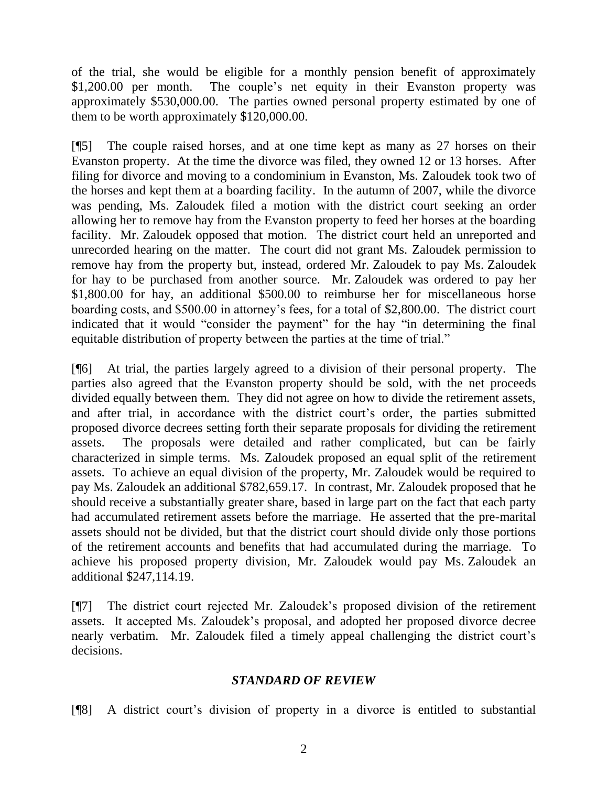of the trial, she would be eligible for a monthly pension benefit of approximately \$1,200.00 per month. The couple's net equity in their Evanston property was approximately \$530,000.00. The parties owned personal property estimated by one of them to be worth approximately \$120,000.00.

[¶5] The couple raised horses, and at one time kept as many as 27 horses on their Evanston property. At the time the divorce was filed, they owned 12 or 13 horses. After filing for divorce and moving to a condominium in Evanston, Ms. Zaloudek took two of the horses and kept them at a boarding facility. In the autumn of 2007, while the divorce was pending, Ms. Zaloudek filed a motion with the district court seeking an order allowing her to remove hay from the Evanston property to feed her horses at the boarding facility. Mr. Zaloudek opposed that motion. The district court held an unreported and unrecorded hearing on the matter. The court did not grant Ms. Zaloudek permission to remove hay from the property but, instead, ordered Mr. Zaloudek to pay Ms. Zaloudek for hay to be purchased from another source. Mr. Zaloudek was ordered to pay her \$1,800.00 for hay, an additional \$500.00 to reimburse her for miscellaneous horse boarding costs, and \$500.00 in attorney's fees, for a total of \$2,800.00. The district court indicated that it would "consider the payment" for the hay "in determining the final equitable distribution of property between the parties at the time of trial."

[¶6] At trial, the parties largely agreed to a division of their personal property. The parties also agreed that the Evanston property should be sold, with the net proceeds divided equally between them. They did not agree on how to divide the retirement assets, and after trial, in accordance with the district court's order, the parties submitted proposed divorce decrees setting forth their separate proposals for dividing the retirement assets. The proposals were detailed and rather complicated, but can be fairly characterized in simple terms. Ms. Zaloudek proposed an equal split of the retirement assets. To achieve an equal division of the property, Mr. Zaloudek would be required to pay Ms. Zaloudek an additional \$782,659.17. In contrast, Mr. Zaloudek proposed that he should receive a substantially greater share, based in large part on the fact that each party had accumulated retirement assets before the marriage. He asserted that the pre-marital assets should not be divided, but that the district court should divide only those portions of the retirement accounts and benefits that had accumulated during the marriage. To achieve his proposed property division, Mr. Zaloudek would pay Ms. Zaloudek an additional \$247,114.19.

[¶7] The district court rejected Mr. Zaloudek's proposed division of the retirement assets. It accepted Ms. Zaloudek's proposal, and adopted her proposed divorce decree nearly verbatim. Mr. Zaloudek filed a timely appeal challenging the district court's decisions.

## *STANDARD OF REVIEW*

[¶8] A district court's division of property in a divorce is entitled to substantial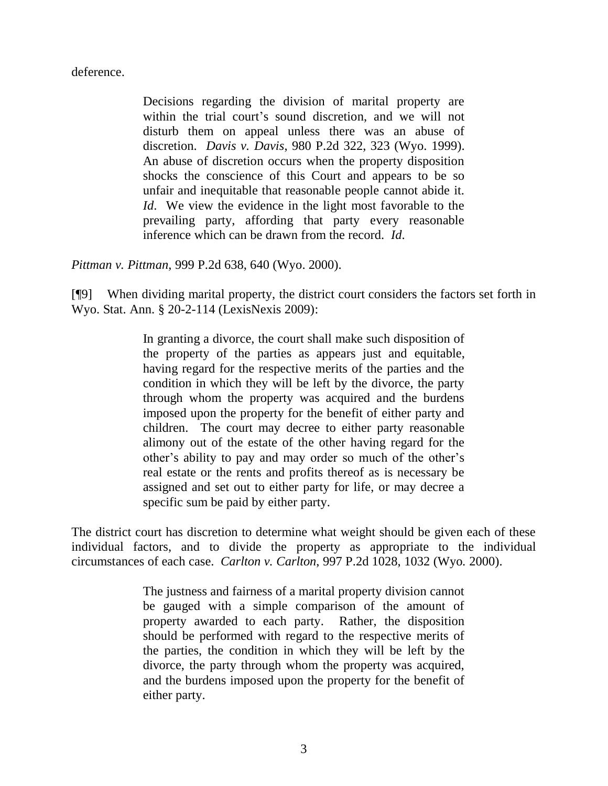deference.

Decisions regarding the division of marital property are within the trial court's sound discretion, and we will not disturb them on appeal unless there was an abuse of discretion. *Davis v. Davis*, 980 P.2d 322, 323 (Wyo. 1999). An abuse of discretion occurs when the property disposition shocks the conscience of this Court and appears to be so unfair and inequitable that reasonable people cannot abide it. *Id.* We view the evidence in the light most favorable to the prevailing party, affording that party every reasonable inference which can be drawn from the record. *Id*.

*Pittman v. Pittman*, 999 P.2d 638, 640 (Wyo. 2000).

[¶9] When dividing marital property, the district court considers the factors set forth in Wyo. Stat. Ann. § 20-2-114 (LexisNexis 2009):

> In granting a divorce, the court shall make such disposition of the property of the parties as appears just and equitable, having regard for the respective merits of the parties and the condition in which they will be left by the divorce, the party through whom the property was acquired and the burdens imposed upon the property for the benefit of either party and children. The court may decree to either party reasonable alimony out of the estate of the other having regard for the other's ability to pay and may order so much of the other's real estate or the rents and profits thereof as is necessary be assigned and set out to either party for life, or may decree a specific sum be paid by either party.

The district court has discretion to determine what weight should be given each of these individual factors, and to divide the property as appropriate to the individual circumstances of each case. *Carlton v. Carlton*, 997 P.2d 1028, 1032 (Wyo. 2000).

> The justness and fairness of a marital property division cannot be gauged with a simple comparison of the amount of property awarded to each party. Rather, the disposition should be performed with regard to the respective merits of the parties, the condition in which they will be left by the divorce, the party through whom the property was acquired, and the burdens imposed upon the property for the benefit of either party.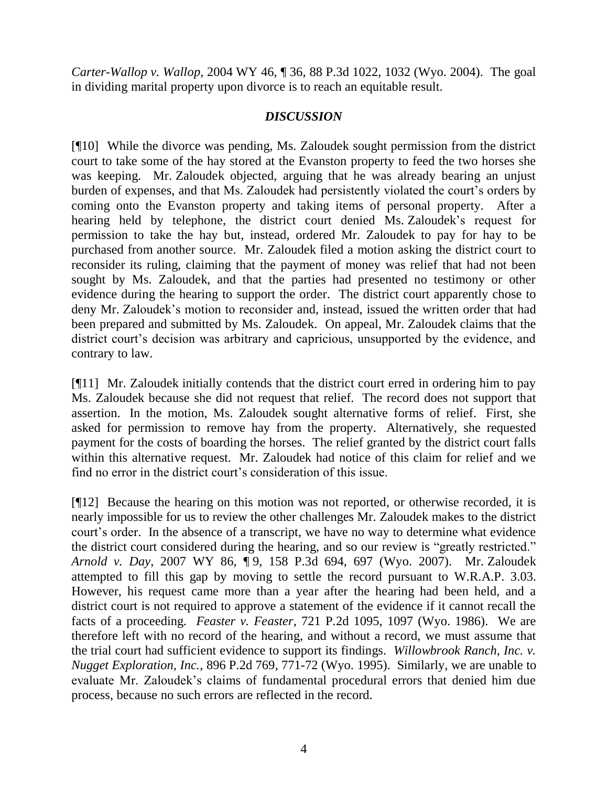*Carter-Wallop v. Wallop*, 2004 WY 46, ¶ 36, 88 P.3d 1022, 1032 (Wyo. 2004). The goal in dividing marital property upon divorce is to reach an equitable result.

## *DISCUSSION*

[¶10] While the divorce was pending, Ms. Zaloudek sought permission from the district court to take some of the hay stored at the Evanston property to feed the two horses she was keeping. Mr. Zaloudek objected, arguing that he was already bearing an unjust burden of expenses, and that Ms. Zaloudek had persistently violated the court's orders by coming onto the Evanston property and taking items of personal property. After a hearing held by telephone, the district court denied Ms. Zaloudek's request for permission to take the hay but, instead, ordered Mr. Zaloudek to pay for hay to be purchased from another source. Mr. Zaloudek filed a motion asking the district court to reconsider its ruling, claiming that the payment of money was relief that had not been sought by Ms. Zaloudek, and that the parties had presented no testimony or other evidence during the hearing to support the order. The district court apparently chose to deny Mr. Zaloudek's motion to reconsider and, instead, issued the written order that had been prepared and submitted by Ms. Zaloudek. On appeal, Mr. Zaloudek claims that the district court's decision was arbitrary and capricious, unsupported by the evidence, and contrary to law.

[¶11] Mr. Zaloudek initially contends that the district court erred in ordering him to pay Ms. Zaloudek because she did not request that relief. The record does not support that assertion. In the motion, Ms. Zaloudek sought alternative forms of relief. First, she asked for permission to remove hay from the property. Alternatively, she requested payment for the costs of boarding the horses. The relief granted by the district court falls within this alternative request. Mr. Zaloudek had notice of this claim for relief and we find no error in the district court's consideration of this issue.

[¶12] Because the hearing on this motion was not reported, or otherwise recorded, it is nearly impossible for us to review the other challenges Mr. Zaloudek makes to the district court's order. In the absence of a transcript, we have no way to determine what evidence the district court considered during the hearing, and so our review is "greatly restricted." *Arnold v. Day*, 2007 WY 86, ¶ 9, 158 P.3d 694, 697 (Wyo. 2007). Mr. Zaloudek attempted to fill this gap by moving to settle the record pursuant to W.R.A.P. 3.03. However, his request came more than a year after the hearing had been held, and a district court is not required to approve a statement of the evidence if it cannot recall the facts of a proceeding. *Feaster v. Feaster*, 721 P.2d 1095, 1097 (Wyo. 1986). We are therefore left with no record of the hearing, and without a record, we must assume that the trial court had sufficient evidence to support its findings. *Willowbrook Ranch, Inc. v. Nugget Exploration, Inc.*, 896 P.2d 769, 771-72 (Wyo. 1995). Similarly, we are unable to evaluate Mr. Zaloudek's claims of fundamental procedural errors that denied him due process, because no such errors are reflected in the record.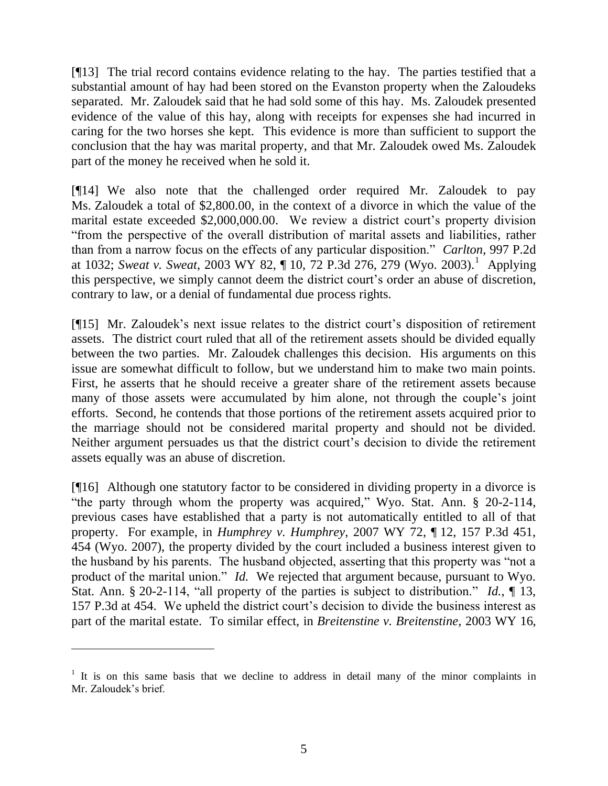[¶13] The trial record contains evidence relating to the hay. The parties testified that a substantial amount of hay had been stored on the Evanston property when the Zaloudeks separated. Mr. Zaloudek said that he had sold some of this hay. Ms. Zaloudek presented evidence of the value of this hay, along with receipts for expenses she had incurred in caring for the two horses she kept. This evidence is more than sufficient to support the conclusion that the hay was marital property, and that Mr. Zaloudek owed Ms. Zaloudek part of the money he received when he sold it.

[¶14] We also note that the challenged order required Mr. Zaloudek to pay Ms. Zaloudek a total of \$2,800.00, in the context of a divorce in which the value of the marital estate exceeded \$2,000,000.00. We review a district court's property division "from the perspective of the overall distribution of marital assets and liabilities, rather than from a narrow focus on the effects of any particular disposition." *Carlton*, 997 P.2d at 1032; *Sweat v. Sweat*, 2003 WY 82, ¶ 10, 72 P.3d 276, 279 (Wyo. 2003).<sup>1</sup> Applying this perspective, we simply cannot deem the district court's order an abuse of discretion, contrary to law, or a denial of fundamental due process rights.

[¶15] Mr. Zaloudek's next issue relates to the district court's disposition of retirement assets. The district court ruled that all of the retirement assets should be divided equally between the two parties. Mr. Zaloudek challenges this decision. His arguments on this issue are somewhat difficult to follow, but we understand him to make two main points. First, he asserts that he should receive a greater share of the retirement assets because many of those assets were accumulated by him alone, not through the couple's joint efforts. Second, he contends that those portions of the retirement assets acquired prior to the marriage should not be considered marital property and should not be divided. Neither argument persuades us that the district court's decision to divide the retirement assets equally was an abuse of discretion.

[¶16] Although one statutory factor to be considered in dividing property in a divorce is "the party through whom the property was acquired," Wyo. Stat. Ann. § 20-2-114, previous cases have established that a party is not automatically entitled to all of that property. For example, in *Humphrey v. Humphrey*, 2007 WY 72, ¶ 12, 157 P.3d 451, 454 (Wyo. 2007), the property divided by the court included a business interest given to the husband by his parents. The husband objected, asserting that this property was "not a product of the marital union." *Id.* We rejected that argument because, pursuant to Wyo. Stat. Ann. § 20-2-114, "all property of the parties is subject to distribution." *Id.*, ¶ 13, 157 P.3d at 454. We upheld the district court's decision to divide the business interest as part of the marital estate. To similar effect, in *Breitenstine v. Breitenstine*, 2003 WY 16,

<sup>&</sup>lt;sup>1</sup> It is on this same basis that we decline to address in detail many of the minor complaints in Mr. Zaloudek's brief.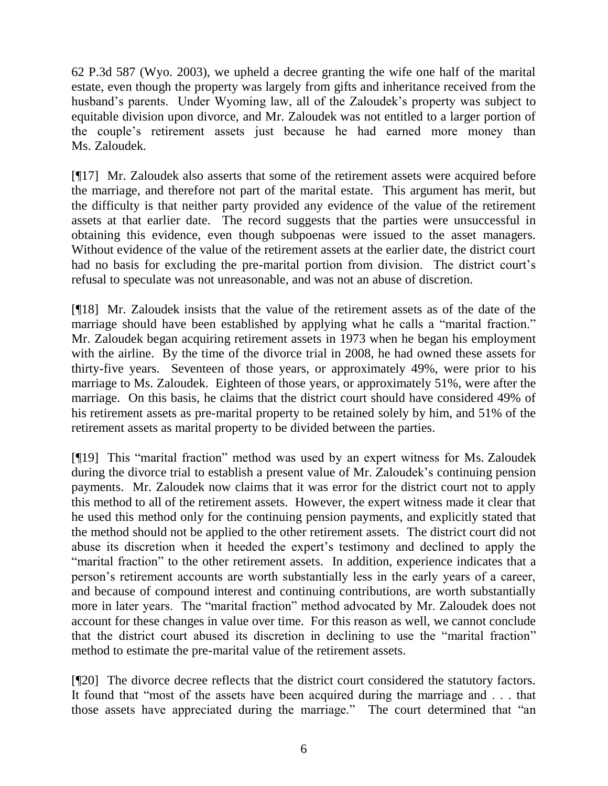62 P.3d 587 (Wyo. 2003), we upheld a decree granting the wife one half of the marital estate, even though the property was largely from gifts and inheritance received from the husband's parents. Under Wyoming law, all of the Zaloudek's property was subject to equitable division upon divorce, and Mr. Zaloudek was not entitled to a larger portion of the couple's retirement assets just because he had earned more money than Ms. Zaloudek.

[¶17] Mr. Zaloudek also asserts that some of the retirement assets were acquired before the marriage, and therefore not part of the marital estate. This argument has merit, but the difficulty is that neither party provided any evidence of the value of the retirement assets at that earlier date. The record suggests that the parties were unsuccessful in obtaining this evidence, even though subpoenas were issued to the asset managers. Without evidence of the value of the retirement assets at the earlier date, the district court had no basis for excluding the pre-marital portion from division. The district court's refusal to speculate was not unreasonable, and was not an abuse of discretion.

[¶18] Mr. Zaloudek insists that the value of the retirement assets as of the date of the marriage should have been established by applying what he calls a "marital fraction." Mr. Zaloudek began acquiring retirement assets in 1973 when he began his employment with the airline. By the time of the divorce trial in 2008, he had owned these assets for thirty-five years. Seventeen of those years, or approximately 49%, were prior to his marriage to Ms. Zaloudek. Eighteen of those years, or approximately 51%, were after the marriage. On this basis, he claims that the district court should have considered 49% of his retirement assets as pre-marital property to be retained solely by him, and 51% of the retirement assets as marital property to be divided between the parties.

[¶19] This "marital fraction" method was used by an expert witness for Ms. Zaloudek during the divorce trial to establish a present value of Mr. Zaloudek's continuing pension payments. Mr. Zaloudek now claims that it was error for the district court not to apply this method to all of the retirement assets. However, the expert witness made it clear that he used this method only for the continuing pension payments, and explicitly stated that the method should not be applied to the other retirement assets. The district court did not abuse its discretion when it heeded the expert's testimony and declined to apply the "marital fraction" to the other retirement assets. In addition, experience indicates that a person's retirement accounts are worth substantially less in the early years of a career, and because of compound interest and continuing contributions, are worth substantially more in later years. The "marital fraction" method advocated by Mr. Zaloudek does not account for these changes in value over time. For this reason as well, we cannot conclude that the district court abused its discretion in declining to use the "marital fraction" method to estimate the pre-marital value of the retirement assets.

[¶20] The divorce decree reflects that the district court considered the statutory factors. It found that "most of the assets have been acquired during the marriage and . . . that those assets have appreciated during the marriage." The court determined that "an